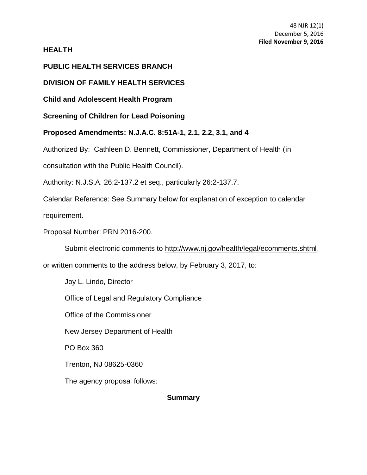# **HEALTH**

# **PUBLIC HEALTH SERVICES BRANCH**

# **DIVISION OF FAMILY HEALTH SERVICES**

**Child and Adolescent Health Program**

**Screening of Children for Lead Poisoning**

**Proposed Amendments: [N.J.A.C. 8:51A-](http://www.lexis.com/research/buttonTFLink?_m=c40a86fa64ea7c519c95069e484ae0e8&_xfercite=%3ccite%20cc%3d%22USA%22%3e%3c%21%5bCDATA%5b36%20N.J.R.%205068%28a%29%5d%5d%3e%3c%2fcite%3e&_butType=4&_butStat=0&_butNum=1&_butInline=1&_butinfo=NJ%20ADMIN%208%3a51A&_fmtstr=FULL&docnum=1&_startdoc=1&wchp=dGLbVzt-zSkAl&_md5=25b83310dc6216a729ffc0fadaee76c1)1, 2.1, 2.2, 3.1, and 4**

Authorized By: Cathleen D. Bennett, Commissioner, Department of Health (in

consultation with the Public Health Council).

Authority: N.J.S.A. 26:2-137.2 et seq., particularly 26:2-137.7.

Calendar Reference: See Summary below for explanation of exception to calendar

requirement.

Proposal Number: PRN 2016-200.

Submit electronic comments to http://www.nj.gov/health/legal/ecomments.shtml,

or written comments to the address below, by February 3, 2017, to:

Joy L. Lindo, Director

Office of Legal and Regulatory Compliance

Office of the Commissioner

New Jersey Department of Health

PO Box 360

Trenton, NJ 08625-0360

The agency proposal follows:

### **Summary**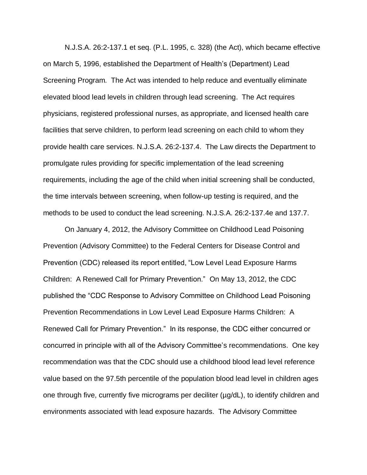[N.J.S.A. 26:2-137.1](http://www.lexis.com/research/buttonTFLink?_m=c40a86fa64ea7c519c95069e484ae0e8&_xfercite=%3ccite%20cc%3d%22USA%22%3e%3c%21%5bCDATA%5b36%20N.J.R.%205068%28a%29%5d%5d%3e%3c%2fcite%3e&_butType=4&_butStat=0&_butNum=3&_butInline=1&_butinfo=NJCODE%2026%3a2-137.1&_fmtstr=FULL&docnum=1&_startdoc=1&wchp=dGLbVzt-zSkAl&_md5=f7c8a6ffb0d2229d33acad3c2de0b07b) et seq. (P.L. 1995, c. 328) (the Act), which became effective on March 5, 1996, established the Department of Health's (Department) Lead Screening Program. The Act was intended to help reduce and eventually eliminate elevated blood lead levels in children through lead screening. The Act requires physicians, registered professional nurses, as appropriate, and licensed health care facilities that serve children, to perform lead screening on each child to whom they provide health care services. [N.J.S.A. 26:2-137.4.](http://www.lexis.com/research/buttonTFLink?_m=c40a86fa64ea7c519c95069e484ae0e8&_xfercite=%3ccite%20cc%3d%22USA%22%3e%3c%21%5bCDATA%5b36%20N.J.R.%205068%28a%29%5d%5d%3e%3c%2fcite%3e&_butType=4&_butStat=0&_butNum=4&_butInline=1&_butinfo=NJCODE%2026%3a2-137.4&_fmtstr=FULL&docnum=1&_startdoc=1&wchp=dGLbVzt-zSkAl&_md5=e9c047ba631ff6f4513f0c219e8d7fca) The Law directs the Department to promulgate rules providing for specific implementation of the lead screening requirements, including the age of the child when initial screening shall be conducted, the time intervals between screening, when follow-up testing is required, and the methods to be used to conduct the lead screening. N.J.S.A. 26:2-137.4e and 137.7.

On January 4, 2012, the Advisory Committee on Childhood Lead Poisoning Prevention (Advisory Committee) to the Federal Centers for Disease Control and Prevention (CDC) released its report entitled, "Low Level Lead Exposure Harms Children: A Renewed Call for Primary Prevention." On May 13, 2012, the CDC published the "CDC Response to Advisory Committee on Childhood Lead Poisoning Prevention Recommendations in Low Level Lead Exposure Harms Children: A Renewed Call for Primary Prevention." In its response, the CDC either concurred or concurred in principle with all of the Advisory Committee's recommendations. One key recommendation was that the CDC should use a childhood blood lead level reference value based on the 97.5th percentile of the population blood lead level in children ages one through five, currently five micrograms per deciliter (µg/dL), to identify children and environments associated with lead exposure hazards. The Advisory Committee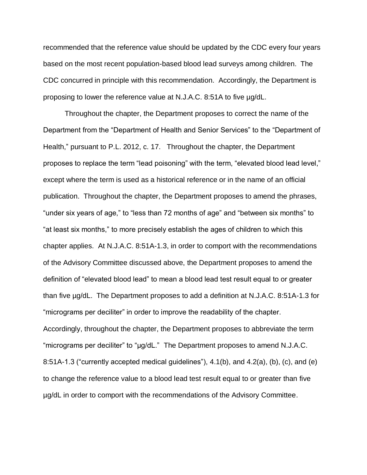recommended that the reference value should be updated by the CDC every four years based on the most recent population-based blood lead surveys among children. The CDC concurred in principle with this recommendation. Accordingly, the Department is proposing to lower the reference value at N.J.A.C. 8:51A to five µg/dL.

Throughout the chapter, the Department proposes to correct the name of the Department from the "Department of Health and Senior Services" to the "Department of Health," pursuant to P.L. 2012, c. 17. Throughout the chapter, the Department proposes to replace the term "lead poisoning" with the term, "elevated blood lead level," except where the term is used as a historical reference or in the name of an official publication. Throughout the chapter, the Department proposes to amend the phrases, "under six years of age," to "less than 72 months of age" and "between six months" to "at least six months," to more precisely establish the ages of children to which this chapter applies. At N.J.A.C. 8:51A-1.3, in order to comport with the recommendations of the Advisory Committee discussed above, the Department proposes to amend the definition of "elevated blood lead" to mean a blood lead test result equal to or greater than five µg/dL. The Department proposes to add a definition at N.J.A.C. 8:51A-1.3 for "micrograms per deciliter" in order to improve the readability of the chapter. Accordingly, throughout the chapter, the Department proposes to abbreviate the term "micrograms per deciliter" to "µg/dL." The Department proposes to amend N.J.A.C. 8:51A-1.3 ("currently accepted medical guidelines"), 4.1(b), and 4.2(a), (b), (c), and (e) to change the reference value to a blood lead test result equal to or greater than five µg/dL in order to comport with the recommendations of the Advisory Committee.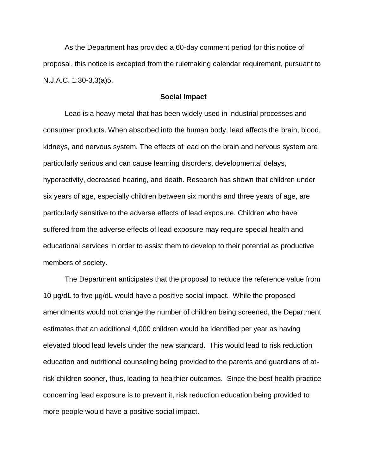As the Department has provided a 60-day comment period for this notice of proposal, this notice is excepted from the rulemaking calendar requirement, pursuant t[o](http://www.lexis.com/research/buttonTFLink?_m=c40a86fa64ea7c519c95069e484ae0e8&_xfercite=%3ccite%20cc%3d%22USA%22%3e%3c%21%5bCDATA%5b36%20N.J.R.%205068%28a%29%5d%5d%3e%3c%2fcite%3e&_butType=4&_butStat=0&_butNum=13&_butInline=1&_butinfo=NJ%20ADMIN%201%3a30-3.3&_fmtstr=FULL&docnum=1&_startdoc=1&wchp=dGLbVzt-zSkAl&_md5=369b1fc2065831a30fb4a0eb2959e094) [N.J.A.C. 1:30-3.3\(a\)5](http://www.lexis.com/research/buttonTFLink?_m=c40a86fa64ea7c519c95069e484ae0e8&_xfercite=%3ccite%20cc%3d%22USA%22%3e%3c%21%5bCDATA%5b36%20N.J.R.%205068%28a%29%5d%5d%3e%3c%2fcite%3e&_butType=4&_butStat=0&_butNum=13&_butInline=1&_butinfo=NJ%20ADMIN%201%3a30-3.3&_fmtstr=FULL&docnum=1&_startdoc=1&wchp=dGLbVzt-zSkAl&_md5=369b1fc2065831a30fb4a0eb2959e094).

### **Social Impact**

Lead is a heavy metal that has been widely used in industrial processes and consumer products. When absorbed into the human body, lead affects the brain, blood, kidneys, and nervous system. The effects of lead on the brain and nervous system are particularly serious and can cause learning disorders, developmental delays, hyperactivity, decreased hearing, and death. Research has shown that children under six years of age, especially children between six months and three years of age, are particularly sensitive to the adverse effects of lead exposure. Children who have suffered from the adverse effects of lead exposure may require special health and educational services in order to assist them to develop to their potential as productive members of society.

The Department anticipates that the proposal to reduce the reference value from 10 µg/dL to five µg/dL would have a positive social impact. While the proposed amendments would not change the number of children being screened, the Department estimates that an additional 4,000 children would be identified per year as having elevated blood lead levels under the new standard. This would lead to risk reduction education and nutritional counseling being provided to the parents and guardians of atrisk children sooner, thus, leading to healthier outcomes. Since the best health practice concerning lead exposure is to prevent it, risk reduction education being provided to more people would have a positive social impact.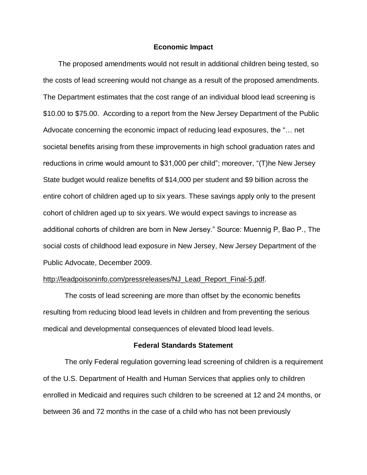### **Economic Impact**

The proposed amendments would not result in additional children being tested, so the costs of lead screening would not change as a result of the proposed amendments. The Department estimates that the cost range of an individual blood lead screening is \$10.00 to \$75.00. According to a report from the New Jersey Department of the Public Advocate concerning the economic impact of reducing lead exposures, the "… net societal benefits arising from these improvements in high school graduation rates and reductions in crime would amount to \$31,000 per child"; moreover, "(T)he New Jersey State budget would realize benefits of \$14,000 per student and \$9 billion across the entire cohort of children aged up to six years. These savings apply only to the present cohort of children aged up to six years. We would expect savings to increase as additional cohorts of children are born in New Jersey." Source: Muennig P, Bao P., The social costs of childhood lead exposure in New Jersey, New Jersey Department of the Public Advocate, December 2009.

### http://leadpoisoninfo.com/pressreleases/NJ\_Lead\_Report\_Final-5.pdf.

The costs of lead screening are more than offset by the economic benefits resulting from reducing blood lead levels in children and from preventing the serious medical and developmental consequences of elevated blood lead levels.

### **Federal Standards Statement**

The only Federal regulation governing lead screening of children is a requirement of the U.S. Department of Health and Human Services that applies only to children enrolled in Medicaid and requires such children to be screened at 12 and 24 months, or between 36 and 72 months in the case of a child who has not been previously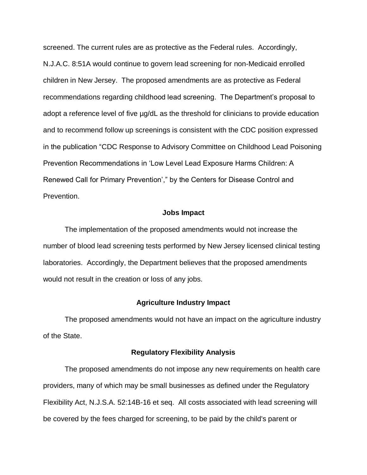screened. The current rules are as protective as the Federal rules. Accordingly, N.J.A.C. 8:51A would continue to govern lead screening for non-Medicaid enrolled children in New Jersey. The proposed amendments are as protective as Federal recommendations regarding childhood lead screening. The Department's proposal to adopt a reference level of five µg/dL as the threshold for clinicians to provide education and to recommend follow up screenings is consistent with the CDC position expressed in the publication "CDC Response to Advisory Committee on Childhood Lead Poisoning Prevention Recommendations in 'Low Level Lead Exposure Harms Children: A Renewed Call for Primary Prevention'," by the Centers for Disease Control and Prevention.

### **Jobs Impact**

The implementation of the proposed amendments would not increase the number of blood lead screening tests performed by New Jersey licensed clinical testing laboratories. Accordingly, the Department believes that the proposed amendments would not result in the creation or loss of any jobs.

### **Agriculture Industry Impact**

The proposed amendments would not have an impact on the agriculture industry of the State.

#### **Regulatory Flexibility Analysis**

The proposed amendments do not impose any new requirements on health care providers, many of which may be small businesses as defined under the Regulatory Flexibility Act, [N.J.S.A. 52:14B-16](http://www.lexis.com/research/buttonTFLink?_m=c40a86fa64ea7c519c95069e484ae0e8&_xfercite=%3ccite%20cc%3d%22USA%22%3e%3c%21%5bCDATA%5b36%20N.J.R.%205068%28a%29%5d%5d%3e%3c%2fcite%3e&_butType=4&_butStat=0&_butNum=15&_butInline=1&_butinfo=NJCODE%2052%3a14B-16&_fmtstr=FULL&docnum=1&_startdoc=1&wchp=dGLbVzt-zSkAl&_md5=fc194082fb74fe3bf361b3f288a5603b) et seq. All costs associated with lead screening will be covered by the fees charged for screening, to be paid by the child's parent or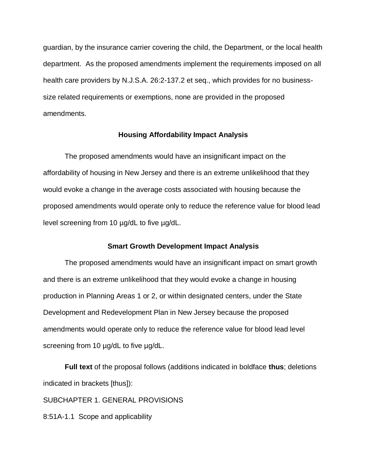guardian, by the insurance carrier covering the child, the Department, or the local health department. As the proposed amendments implement the requirements imposed on all health care providers by [N.J.S.A. 26:2-137.2](http://www.lexis.com/research/buttonTFLink?_m=c40a86fa64ea7c519c95069e484ae0e8&_xfercite=%3ccite%20cc%3d%22USA%22%3e%3c%21%5bCDATA%5b36%20N.J.R.%205068%28a%29%5d%5d%3e%3c%2fcite%3e&_butType=4&_butStat=0&_butNum=16&_butInline=1&_butinfo=NJCODE%2026%3a2-137.2&_fmtstr=FULL&docnum=1&_startdoc=1&wchp=dGLbVzt-zSkAl&_md5=ce9d945c82a23c82524af3a6a69b3177) et seq., which provides for no businesssize related requirements or exemptions, none are provided in the proposed amendments.

### **Housing Affordability Impact Analysis**

The proposed amendments would have an insignificant impact on the affordability of housing in New Jersey and there is an extreme unlikelihood that they would evoke a change in the average costs associated with housing because the proposed amendments would operate only to reduce the reference value for blood lead level screening from 10 µg/dL to five µg/dL.

### **Smart Growth Development Impact Analysis**

The proposed amendments would have an insignificant impact on smart growth and there is an extreme unlikelihood that they would evoke a change in housing production in Planning Areas 1 or 2, or within designated centers, under the State Development and Redevelopment Plan in New Jersey because the proposed amendments would operate only to reduce the reference value for blood lead level screening from 10 µg/dL to five µg/dL.

**Full text** of the proposal follows (additions indicated in boldface **thus**; deletions indicated in brackets [thus]):

SUBCHAPTER 1. GENERAL PROVISIONS

8:51A-1.1 Scope and applicability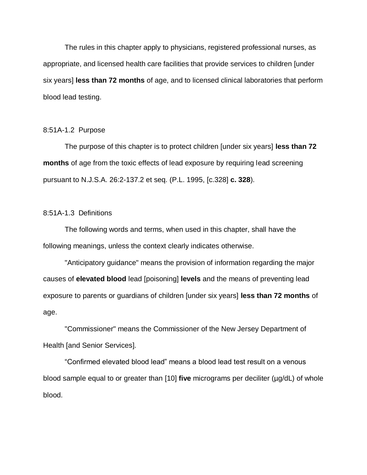The rules in this chapter apply to physicians, registered professional nurses, as appropriate, and licensed health care facilities that provide services to children [under six years] **less than 72 months** of age, and to licensed clinical laboratories that perform blood lead testing.

#### 8:51A-1.2 Purpose

The purpose of this chapter is to protect children [under six years] **less than 72 months** of age from the toxic effects of lead exposure by requiring lead screening pursuant to N.J.S.A. 26:2-137.2 et seq. (P.L. 1995, [c.328] **c. 328**).

## 8:51A-1.3 Definitions

The following words and terms, when used in this chapter, shall have the following meanings, unless the context clearly indicates otherwise.

"Anticipatory guidance" means the provision of information regarding the major causes of **elevated blood** lead [poisoning] **levels** and the means of preventing lead exposure to parents or guardians of children [under six years] **less than 72 months** of age.

"Commissioner" means the Commissioner of the New Jersey Department of Health [and Senior Services].

"Confirmed elevated blood lead" means a blood lead test result on a venous blood sample equal to or greater than [10] **five** micrograms per deciliter (µg/dL) of whole blood.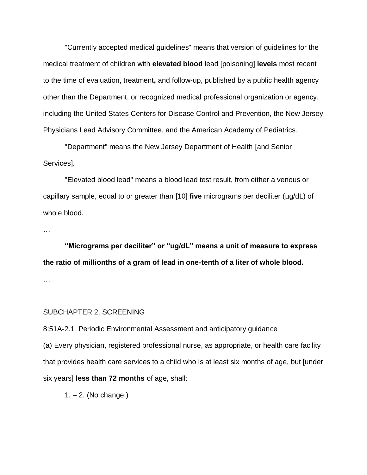"Currently accepted medical guidelines" means that version of guidelines for the medical treatment of children with **elevated blood** lead [poisoning] **levels** most recent to the time of evaluation, treatment**,** and follow-up, published by a public health agency other than the Department, or recognized medical professional organization or agency, including the United States Centers for Disease Control and Prevention, the New Jersey Physicians Lead Advisory Committee, and the American Academy of Pediatrics.

"Department" means the New Jersey Department of Health [and Senior Services].

"Elevated blood lead" means a blood lead test result, from either a venous or capillary sample, equal to or greater than [10] **five** micrograms per deciliter (µg/dL) of whole blood.

…

**"Micrograms per deciliter" or "ug/dL" means a unit of measure to express the ratio of millionths of a gram of lead in one-tenth of a liter of whole blood.** …

#### SUBCHAPTER 2. SCREENING

8:51A-2.1 Periodic Environmental Assessment and anticipatory guidance

(a) Every physician, registered professional nurse, as appropriate, or health care facility that provides health care services to a child who is at least six months of age, but [under six years] **less than 72 months** of age, shall:

1. – 2. (No change.)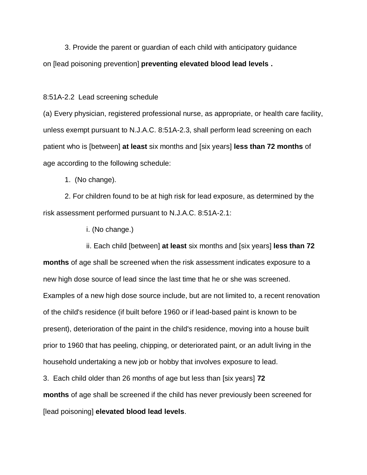3. Provide the parent or guardian of each child with anticipatory guidance on [lead poisoning prevention] **preventing elevated blood lead levels .**

8:51A-2.2 Lead screening schedule

(a) Every physician, registered professional nurse, as appropriate, or health care facility, unless exempt pursuant to N.J.A.C. 8:51A-2.3, shall perform lead screening on each patient who is [between] **at least** six months and [six years] **less than 72 months** of age according to the following schedule:

1. (No change).

2. For children found to be at high risk for lead exposure, as determined by the risk assessment performed pursuant to N.J.A.C. 8:51A-2.1:

i. (No change.)

ii. Each child [between] **at least** six months and [six years] **less than 72 months** of age shall be screened when the risk assessment indicates exposure to a new high dose source of lead since the last time that he or she was screened. Examples of a new high dose source include, but are not limited to, a recent renovation of the child's residence (if built before 1960 or if lead-based paint is known to be present), deterioration of the paint in the child's residence, moving into a house built prior to 1960 that has peeling, chipping, or deteriorated paint, or an adult living in the household undertaking a new job or hobby that involves exposure to lead.

3. Each child older than 26 months of age but less than [six years] **72 months** of age shall be screened if the child has never previously been screened for [lead poisoning] **elevated blood lead levels**.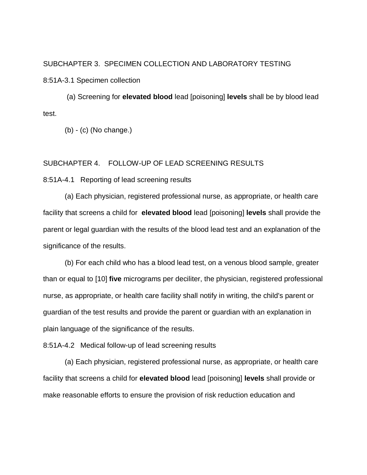## SUBCHAPTER 3. SPECIMEN COLLECTION AND LABORATORY TESTING

8:51A-3.1 Specimen collection

(a) Screening for **elevated blood** lead [poisoning] **levels** shall be by blood lead test.

(b) - (c) (No change.)

### SUBCHAPTER 4. FOLLOW-UP OF LEAD SCREENING RESULTS

8:51A-4.1 Reporting of lead screening results

(a) Each physician, registered professional nurse, as appropriate, or health care facility that screens a child for **elevated blood** lead [poisoning] **levels** shall provide the parent or legal guardian with the results of the blood lead test and an explanation of the significance of the results.

(b) For each child who has a blood lead test, on a venous blood sample, greater than or equal to [10] **five** micrograms per deciliter, the physician, registered professional nurse, as appropriate, or health care facility shall notify in writing, the child's parent or guardian of the test results and provide the parent or guardian with an explanation in plain language of the significance of the results.

8:51A-4.2 Medical follow-up of lead screening results

(a) Each physician, registered professional nurse, as appropriate, or health care facility that screens a child for **elevated blood** lead [poisoning] **levels** shall provide or make reasonable efforts to ensure the provision of risk reduction education and